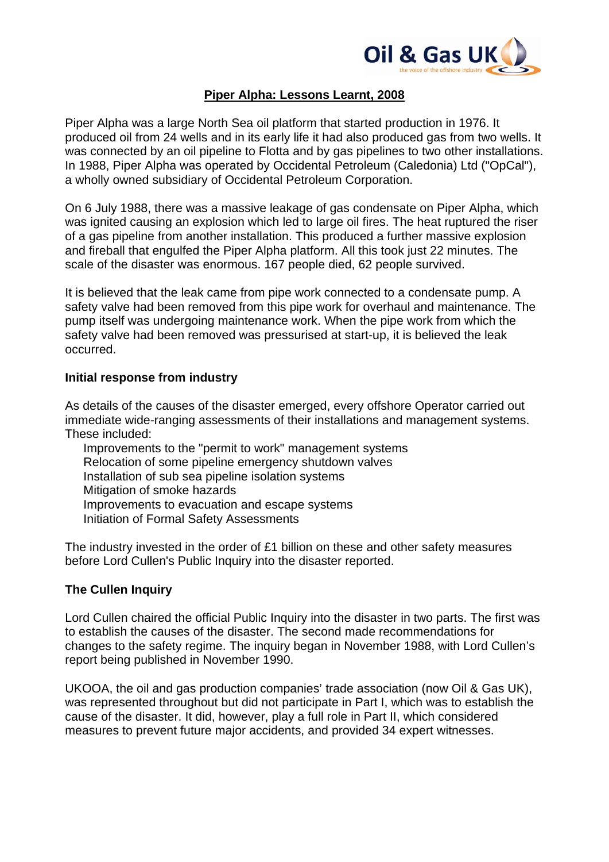

# **Piper Alpha: Lessons Learnt, 2008**

Piper Alpha was a large North Sea oil platform that started production in 1976. It produced oil from 24 wells and in its early life it had also produced gas from two wells. It was connected by an oil pipeline to Flotta and by gas pipelines to two other installations. In 1988, Piper Alpha was operated by Occidental Petroleum (Caledonia) Ltd ("OpCal"), a wholly owned subsidiary of Occidental Petroleum Corporation.

On 6 July 1988, there was a massive leakage of gas condensate on Piper Alpha, which was ignited causing an explosion which led to large oil fires. The heat ruptured the riser of a gas pipeline from another installation. This produced a further massive explosion and fireball that engulfed the Piper Alpha platform. All this took just 22 minutes. The scale of the disaster was enormous. 167 people died, 62 people survived.

It is believed that the leak came from pipe work connected to a condensate pump. A safety valve had been removed from this pipe work for overhaul and maintenance. The pump itself was undergoing maintenance work. When the pipe work from which the safety valve had been removed was pressurised at start-up, it is believed the leak occurred.

#### **Initial response from industry**

As details of the causes of the disaster emerged, every offshore Operator carried out immediate wide-ranging assessments of their installations and management systems. These included:

Improvements to the "permit to work" management systems Relocation of some pipeline emergency shutdown valves Installation of sub sea pipeline isolation systems Mitigation of smoke hazards Improvements to evacuation and escape systems Initiation of Formal Safety Assessments

The industry invested in the order of £1 billion on these and other safety measures before Lord Cullen's Public Inquiry into the disaster reported.

# **The Cullen Inquiry**

Lord Cullen chaired the official Public Inquiry into the disaster in two parts. The first was to establish the causes of the disaster. The second made recommendations for changes to the safety regime. The inquiry began in November 1988, with Lord Cullen's report being published in November 1990.

UKOOA, the oil and gas production companies' trade association (now Oil & Gas UK), was represented throughout but did not participate in Part I, which was to establish the cause of the disaster. It did, however, play a full role in Part II, which considered measures to prevent future major accidents, and provided 34 expert witnesses.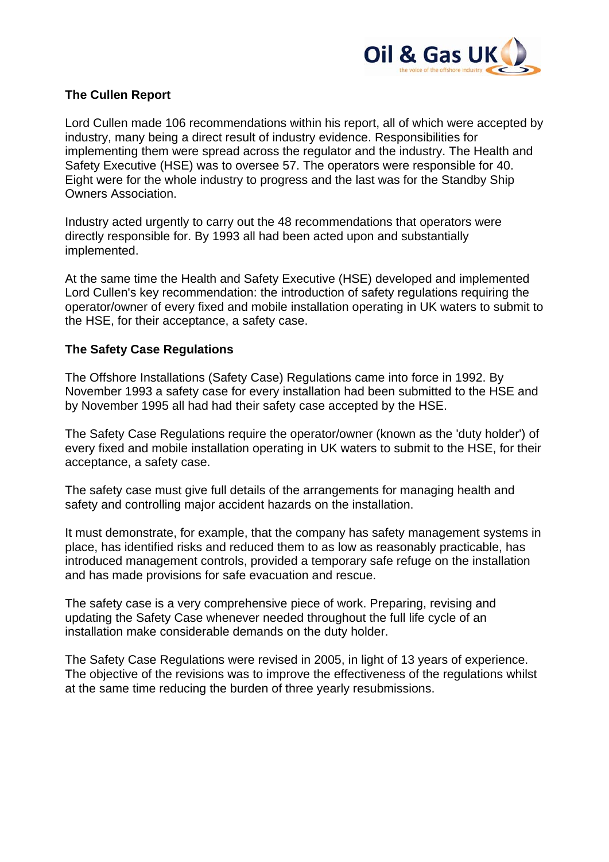

# **The Cullen Report**

Lord Cullen made 106 recommendations within his report, all of which were accepted by industry, many being a direct result of industry evidence. Responsibilities for implementing them were spread across the regulator and the industry. The Health and Safety Executive (HSE) was to oversee 57. The operators were responsible for 40. Eight were for the whole industry to progress and the last was for the Standby Ship Owners Association.

Industry acted urgently to carry out the 48 recommendations that operators were directly responsible for. By 1993 all had been acted upon and substantially implemented.

At the same time the Health and Safety Executive (HSE) developed and implemented Lord Cullen's key recommendation: the introduction of safety regulations requiring the operator/owner of every fixed and mobile installation operating in UK waters to submit to the HSE, for their acceptance, a safety case.

#### **The Safety Case Regulations**

The Offshore Installations (Safety Case) Regulations came into force in 1992. By November 1993 a safety case for every installation had been submitted to the HSE and by November 1995 all had had their safety case accepted by the HSE.

The Safety Case Regulations require the operator/owner (known as the 'duty holder') of every fixed and mobile installation operating in UK waters to submit to the HSE, for their acceptance, a safety case.

The safety case must give full details of the arrangements for managing health and safety and controlling major accident hazards on the installation.

It must demonstrate, for example, that the company has safety management systems in place, has identified risks and reduced them to as low as reasonably practicable, has introduced management controls, provided a temporary safe refuge on the installation and has made provisions for safe evacuation and rescue.

The safety case is a very comprehensive piece of work. Preparing, revising and updating the Safety Case whenever needed throughout the full life cycle of an installation make considerable demands on the duty holder.

The Safety Case Regulations were revised in 2005, in light of 13 years of experience. The objective of the revisions was to improve the effectiveness of the regulations whilst at the same time reducing the burden of three yearly resubmissions.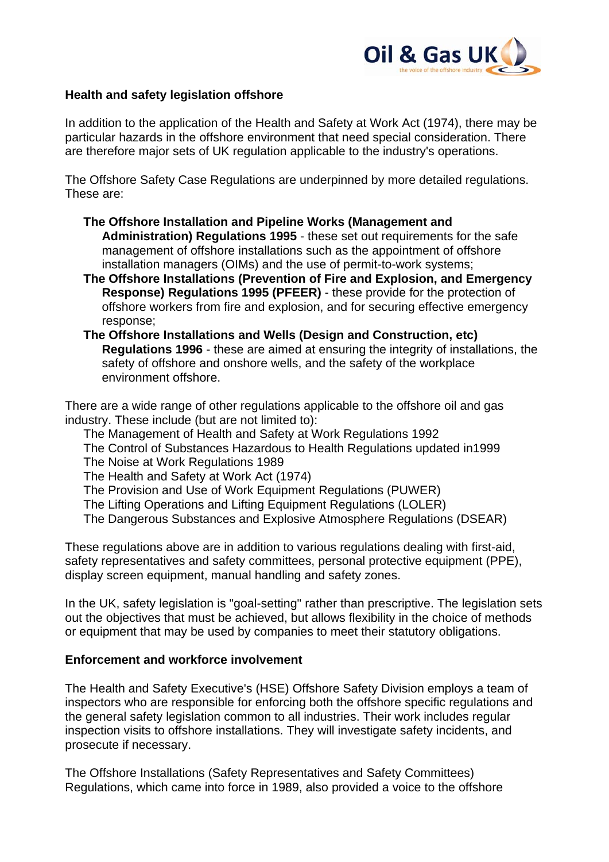

### **Health and safety legislation offshore**

In addition to the application of the Health and Safety at Work Act (1974), there may be particular hazards in the offshore environment that need special consideration. There are therefore major sets of UK regulation applicable to the industry's operations.

The Offshore Safety Case Regulations are underpinned by more detailed regulations. These are:

- **The Offshore Installation and Pipeline Works (Management and Administration) Regulations 1995** - these set out requirements for the safe management of offshore installations such as the appointment of offshore installation managers (OIMs) and the use of permit-to-work systems;
- **The Offshore Installations (Prevention of Fire and Explosion, and Emergency Response) Regulations 1995 (PFEER)** - these provide for the protection of offshore workers from fire and explosion, and for securing effective emergency response;
- **The Offshore Installations and Wells (Design and Construction, etc) Regulations 1996** - these are aimed at ensuring the integrity of installations, the safety of offshore and onshore wells, and the safety of the workplace environment offshore.

There are a wide range of other regulations applicable to the offshore oil and gas industry. These include (but are not limited to):

The Management of Health and Safety at Work Regulations 1992

- The Control of Substances Hazardous to Health Regulations updated in1999
- The Noise at Work Regulations 1989

The Health and Safety at Work Act (1974)

- The Provision and Use of Work Equipment Regulations (PUWER)
- The Lifting Operations and Lifting Equipment Regulations (LOLER)
- The Dangerous Substances and Explosive Atmosphere Regulations (DSEAR)

These regulations above are in addition to various regulations dealing with first-aid, safety representatives and safety committees, personal protective equipment (PPE), display screen equipment, manual handling and safety zones.

In the UK, safety legislation is "goal-setting" rather than prescriptive. The legislation sets out the objectives that must be achieved, but allows flexibility in the choice of methods or equipment that may be used by companies to meet their statutory obligations.

#### **Enforcement and workforce involvement**

The Health and Safety Executive's (HSE) Offshore Safety Division employs a team of inspectors who are responsible for enforcing both the offshore specific regulations and the general safety legislation common to all industries. Their work includes regular inspection visits to offshore installations. They will investigate safety incidents, and prosecute if necessary.

The Offshore Installations (Safety Representatives and Safety Committees) Regulations, which came into force in 1989, also provided a voice to the offshore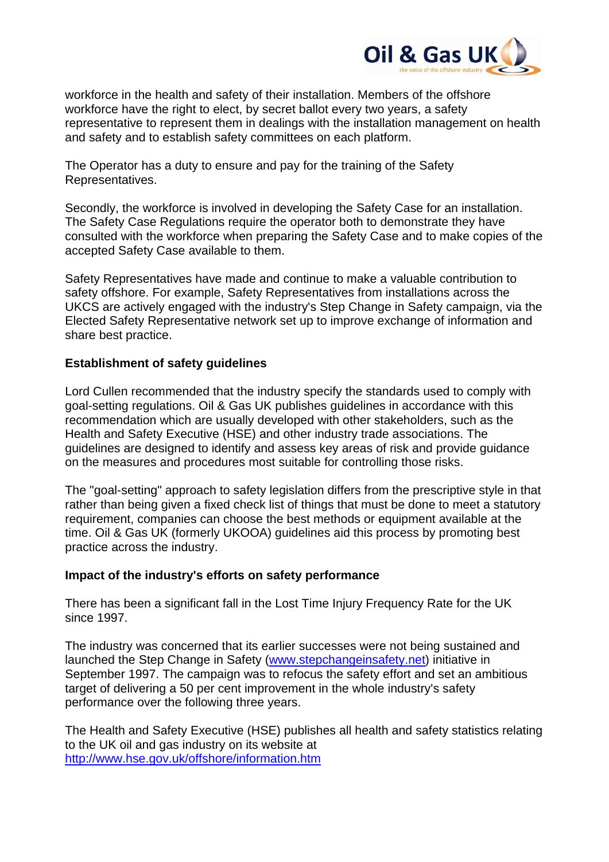

workforce in the health and safety of their installation. Members of the offshore workforce have the right to elect, by secret ballot every two years, a safety representative to represent them in dealings with the installation management on health and safety and to establish safety committees on each platform.

The Operator has a duty to ensure and pay for the training of the Safety Representatives.

Secondly, the workforce is involved in developing the Safety Case for an installation. The Safety Case Regulations require the operator both to demonstrate they have consulted with the workforce when preparing the Safety Case and to make copies of the accepted Safety Case available to them.

Safety Representatives have made and continue to make a valuable contribution to safety offshore. For example, Safety Representatives from installations across the UKCS are actively engaged with the industry's Step Change in Safety campaign, via the Elected Safety Representative network set up to improve exchange of information and share best practice.

# **Establishment of safety guidelines**

Lord Cullen recommended that the industry specify the standards used to comply with goal-setting regulations. Oil & Gas UK publishes guidelines in accordance with this recommendation which are usually developed with other stakeholders, such as the Health and Safety Executive (HSE) and other industry trade associations. The guidelines are designed to identify and assess key areas of risk and provide guidance on the measures and procedures most suitable for controlling those risks.

The "goal-setting" approach to safety legislation differs from the prescriptive style in that rather than being given a fixed check list of things that must be done to meet a statutory requirement, companies can choose the best methods or equipment available at the time. Oil & Gas UK (formerly UKOOA) guidelines aid this process by promoting best practice across the industry.

# **Impact of the industry's efforts on safety performance**

There has been a significant fall in the Lost Time Injury Frequency Rate for the UK since 1997.

The industry was concerned that its earlier successes were not being sustained and launched the Step Change in Safety [\(www.stepchangeinsafety.net\)](http://www.stepchangeinsafety.net/) initiative in September 1997. The campaign was to refocus the safety effort and set an ambitious target of delivering a 50 per cent improvement in the whole industry's safety performance over the following three years.

The Health and Safety Executive (HSE) publishes all health and safety statistics relating to the UK oil and gas industry on its website at <http://www.hse.gov.uk/offshore/information.htm>